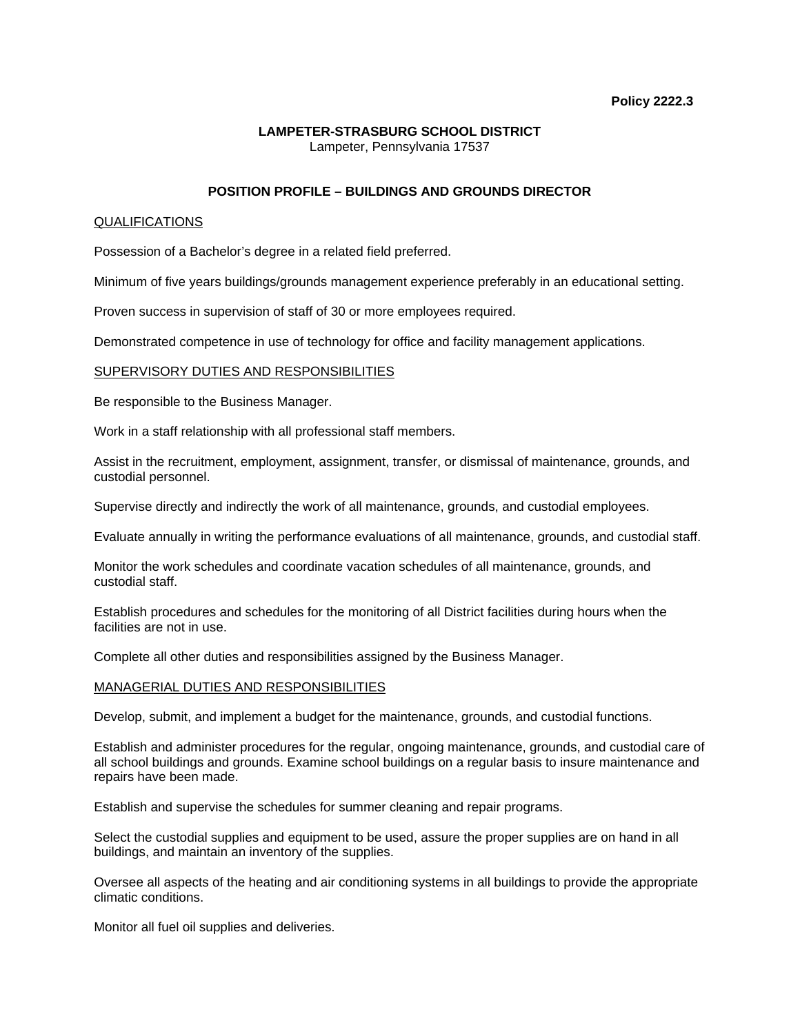# **LAMPETER-STRASBURG SCHOOL DISTRICT**  Lampeter, Pennsylvania 17537

# **POSITION PROFILE – BUILDINGS AND GROUNDS DIRECTOR**

## QUALIFICATIONS

Possession of a Bachelor's degree in a related field preferred.

Minimum of five years buildings/grounds management experience preferably in an educational setting.

Proven success in supervision of staff of 30 or more employees required.

Demonstrated competence in use of technology for office and facility management applications.

### SUPERVISORY DUTIES AND RESPONSIBILITIES

Be responsible to the Business Manager.

Work in a staff relationship with all professional staff members.

Assist in the recruitment, employment, assignment, transfer, or dismissal of maintenance, grounds, and custodial personnel.

Supervise directly and indirectly the work of all maintenance, grounds, and custodial employees.

Evaluate annually in writing the performance evaluations of all maintenance, grounds, and custodial staff.

Monitor the work schedules and coordinate vacation schedules of all maintenance, grounds, and custodial staff.

Establish procedures and schedules for the monitoring of all District facilities during hours when the facilities are not in use.

Complete all other duties and responsibilities assigned by the Business Manager.

#### MANAGERIAL DUTIES AND RESPONSIBILITIES

Develop, submit, and implement a budget for the maintenance, grounds, and custodial functions.

Establish and administer procedures for the regular, ongoing maintenance, grounds, and custodial care of all school buildings and grounds. Examine school buildings on a regular basis to insure maintenance and repairs have been made.

Establish and supervise the schedules for summer cleaning and repair programs.

Select the custodial supplies and equipment to be used, assure the proper supplies are on hand in all buildings, and maintain an inventory of the supplies.

Oversee all aspects of the heating and air conditioning systems in all buildings to provide the appropriate climatic conditions.

Monitor all fuel oil supplies and deliveries.